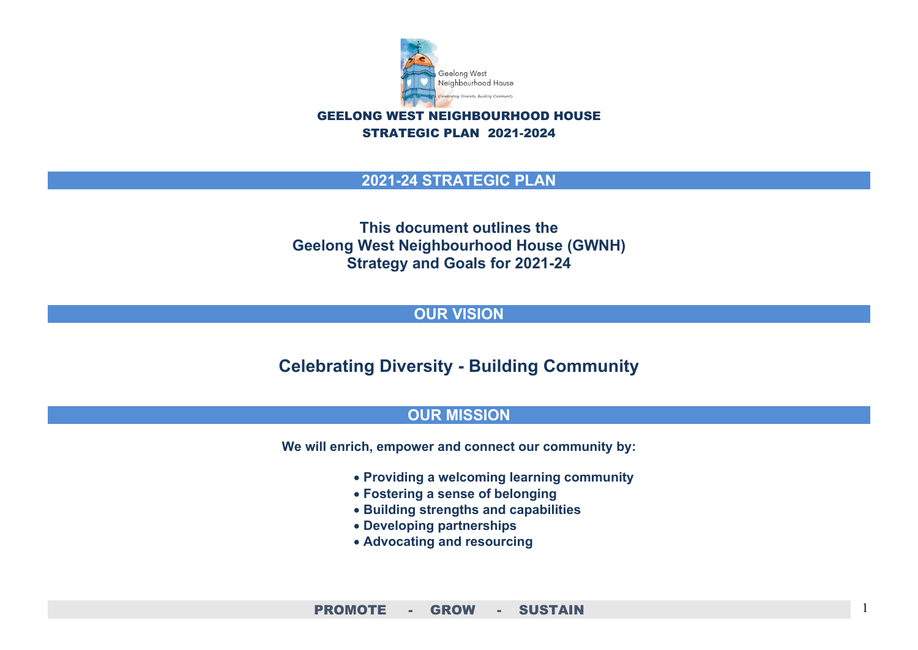

STRATEGIC PLAN 2021-2024

#### **2021-24 STRATEGIC PLAN**

**This document outlines the Geelong West Neighbourhood House (GWNH) Strategy and Goals for 2021-24**

#### **OUR VISION**

**Celebrating Diversity - Building Community**

#### **OUR MISSION**

**We will enrich, empower and connect our community by:**

- **Providing a welcoming learning community**
- **Fostering a sense of belonging**
- **Building strengths and capabilities**
- **Developing partnerships**
- **Advocating and resourcing**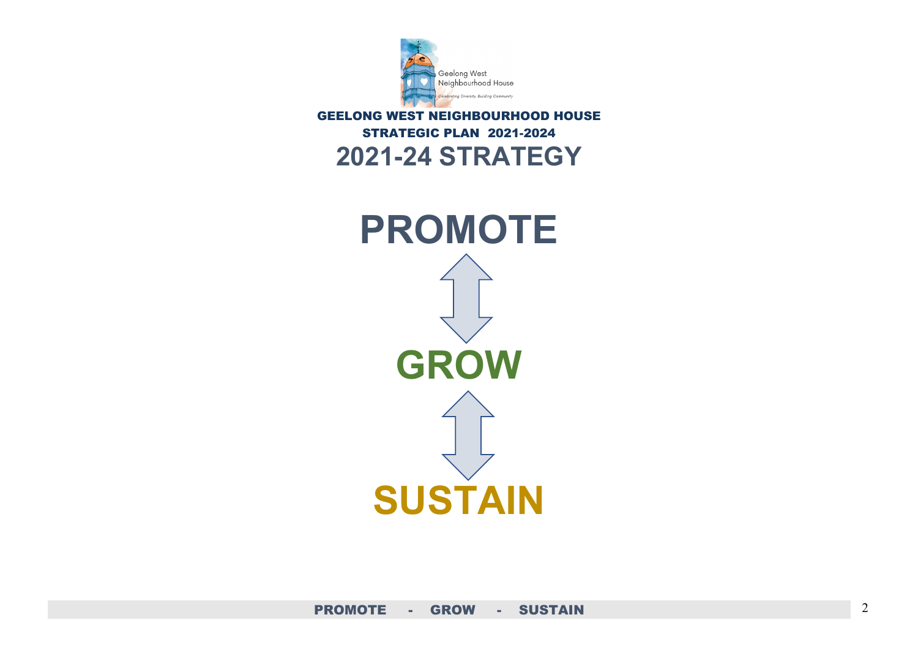

### GEELONG WEST NEIGHBOURHOOD HOUSE STRATEGIC PLAN 2021-2024 **2021-24 STRATEGY**

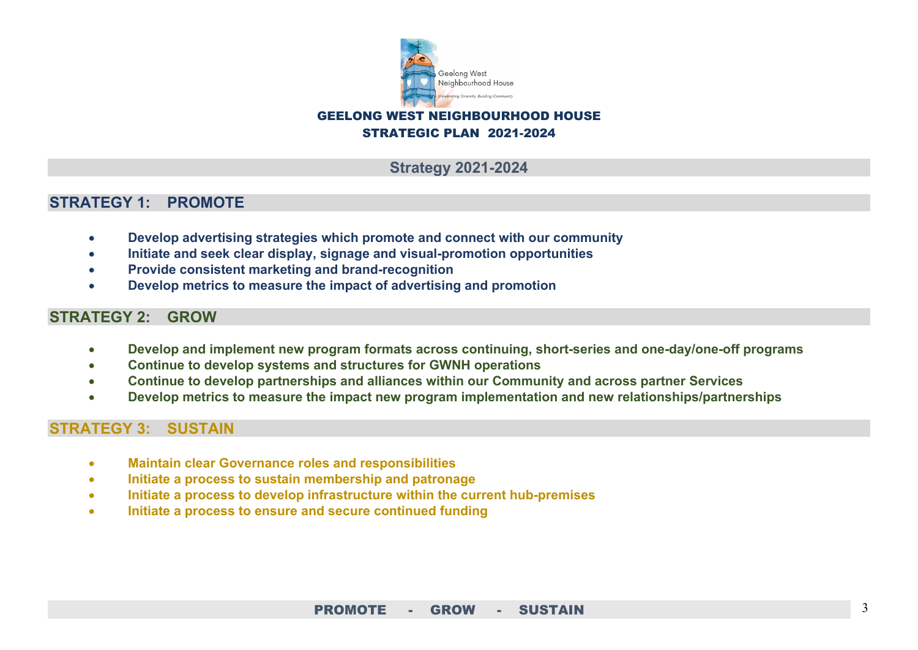

#### GEELONG WEST NEIGHBOURHOOD HOUSE STRATEGIC PLAN 2021-2024

#### **Strategy 2021-2024**

#### **STRATEGY 1: PROMOTE**

- **Develop advertising strategies which promote and connect with our community**
- **Initiate and seek clear display, signage and visual-promotion opportunities**
- **Provide consistent marketing and brand-recognition**
- **Develop metrics to measure the impact of advertising and promotion**

#### **STRATEGY 2: GROW**

- **Develop and implement new program formats across continuing, short-series and one-day/one-off programs**
- **Continue to develop systems and structures for GWNH operations**
- **Continue to develop partnerships and alliances within our Community and across partner Services**
- **Develop metrics to measure the impact new program implementation and new relationships/partnerships**

#### **STRATEGY 3: SUSTAIN**

- **Maintain clear Governance roles and responsibilities**
- **Initiate a process to sustain membership and patronage**
- **Initiate a process to develop infrastructure within the current hub-premises**
- **Initiate a process to ensure and secure continued funding**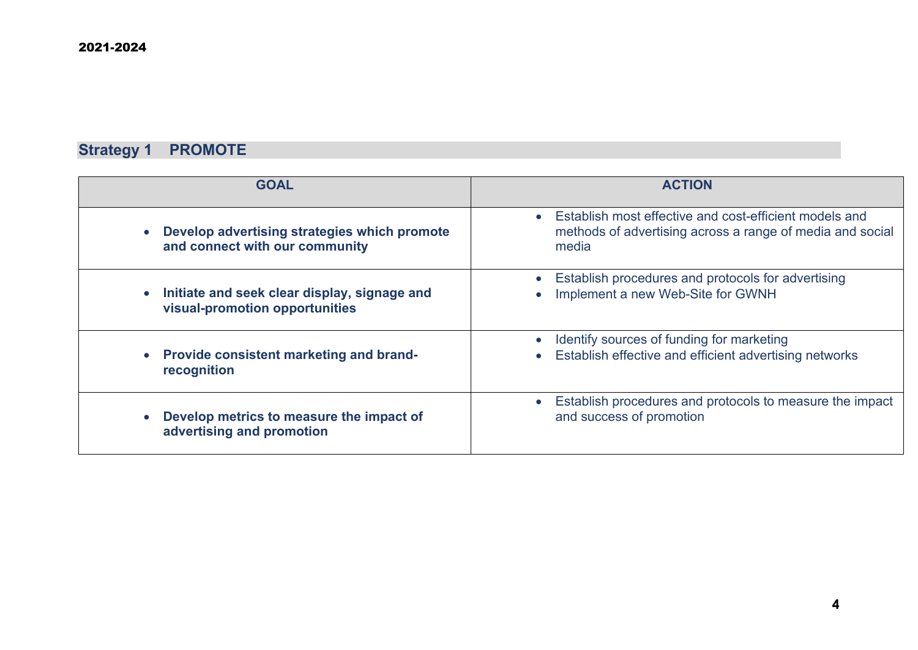## **Strategy 1 PROMOTE**

| <b>GOAL</b>                                                                                 | <b>ACTION</b>                                                                           |
|---------------------------------------------------------------------------------------------|-----------------------------------------------------------------------------------------|
| Develop advertising strategies which promote                                                | Establish most effective and cost-efficient models and                                  |
| $\bullet$                                                                                   | methods of advertising across a range of media and social                               |
| and connect with our community                                                              | media                                                                                   |
| Initiate and seek clear display, signage and<br>$\bullet$<br>visual-promotion opportunities | Establish procedures and protocols for advertising<br>Implement a new Web-Site for GWNH |
| <b>Provide consistent marketing and brand-</b>                                              | Identify sources of funding for marketing                                               |
| $\bullet$                                                                                   | $\bullet$                                                                               |
| recognition                                                                                 | Establish effective and efficient advertising networks                                  |
| Develop metrics to measure the impact of                                                    | Establish procedures and protocols to measure the impact                                |
| advertising and promotion                                                                   | and success of promotion                                                                |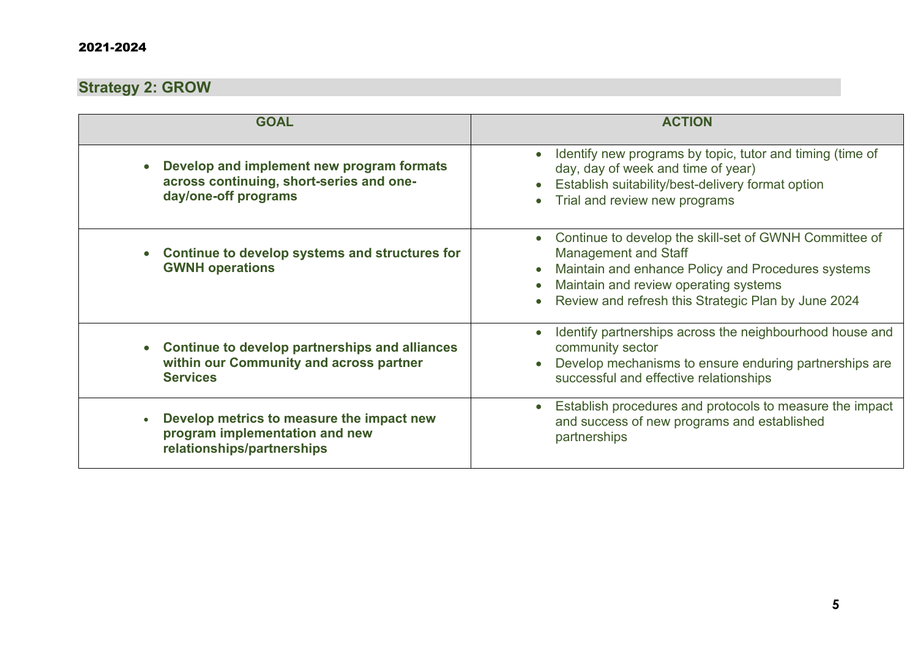#### 2021-2024

## **Strategy 2: GROW**

| <b>GOAL</b>                                                                                                   | <b>ACTION</b>                                                                                                                                                                                                                               |
|---------------------------------------------------------------------------------------------------------------|---------------------------------------------------------------------------------------------------------------------------------------------------------------------------------------------------------------------------------------------|
|                                                                                                               |                                                                                                                                                                                                                                             |
| Develop and implement new program formats<br>across continuing, short-series and one-<br>day/one-off programs | Identify new programs by topic, tutor and timing (time of<br>day, day of week and time of year)<br>Establish suitability/best-delivery format option<br>Trial and review new programs                                                       |
| Continue to develop systems and structures for<br><b>GWNH operations</b>                                      | Continue to develop the skill-set of GWNH Committee of<br><b>Management and Staff</b><br>Maintain and enhance Policy and Procedures systems<br>Maintain and review operating systems<br>Review and refresh this Strategic Plan by June 2024 |
| Continue to develop partnerships and alliances<br>within our Community and across partner<br><b>Services</b>  | Identify partnerships across the neighbourhood house and<br>community sector<br>Develop mechanisms to ensure enduring partnerships are<br>successful and effective relationships                                                            |
| Develop metrics to measure the impact new<br>program implementation and new<br>relationships/partnerships     | Establish procedures and protocols to measure the impact<br>and success of new programs and established<br>partnerships                                                                                                                     |